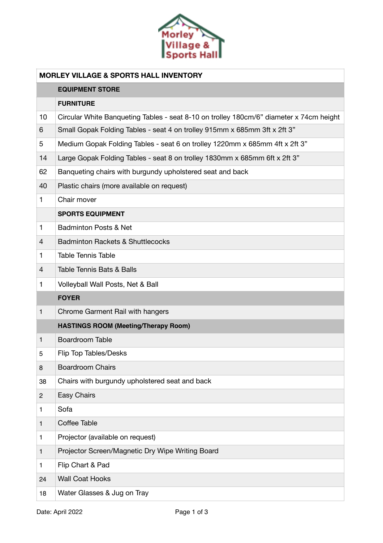

| <b>MORLEY VILLAGE &amp; SPORTS HALL INVENTORY</b> |                                                                                         |  |
|---------------------------------------------------|-----------------------------------------------------------------------------------------|--|
|                                                   | <b>EQUIPMENT STORE</b>                                                                  |  |
|                                                   | <b>FURNITURE</b>                                                                        |  |
| 10                                                | Circular White Banqueting Tables - seat 8-10 on trolley 180cm/6" diameter x 74cm height |  |
| 6                                                 | Small Gopak Folding Tables - seat 4 on trolley 915mm x 685mm 3ft x 2ft 3"               |  |
| 5                                                 | Medium Gopak Folding Tables - seat 6 on trolley 1220mm x 685mm 4ft x 2ft 3"             |  |
| 14                                                | Large Gopak Folding Tables - seat 8 on trolley 1830mm x 685mm 6ft x 2ft 3"              |  |
| 62                                                | Banqueting chairs with burgundy upholstered seat and back                               |  |
| 40                                                | Plastic chairs (more available on request)                                              |  |
| $\mathbf{1}$                                      | Chair mover                                                                             |  |
|                                                   | <b>SPORTS EQUIPMENT</b>                                                                 |  |
| 1                                                 | <b>Badminton Posts &amp; Net</b>                                                        |  |
| $\overline{4}$                                    | <b>Badminton Rackets &amp; Shuttlecocks</b>                                             |  |
| 1                                                 | <b>Table Tennis Table</b>                                                               |  |
| $\overline{4}$                                    | <b>Table Tennis Bats &amp; Balls</b>                                                    |  |
| 1                                                 | Volleyball Wall Posts, Net & Ball                                                       |  |
|                                                   | <b>FOYER</b>                                                                            |  |
| 1                                                 | Chrome Garment Rail with hangers                                                        |  |
|                                                   | <b>HASTINGS ROOM (Meeting/Therapy Room)</b>                                             |  |
| 1                                                 | <b>Boardroom Table</b>                                                                  |  |
| 5                                                 | <b>Flip Top Tables/Desks</b>                                                            |  |
| 8                                                 | <b>Boardroom Chairs</b>                                                                 |  |
| 38                                                | Chairs with burgundy upholstered seat and back                                          |  |
| $\overline{c}$                                    | Easy Chairs                                                                             |  |
| 1                                                 | Sofa                                                                                    |  |
| 1                                                 | Coffee Table                                                                            |  |
| 1                                                 | Projector (available on request)                                                        |  |
| 1                                                 | Projector Screen/Magnetic Dry Wipe Writing Board                                        |  |
| 1                                                 | Flip Chart & Pad                                                                        |  |
| 24                                                | <b>Wall Coat Hooks</b>                                                                  |  |
| 18                                                | Water Glasses & Jug on Tray                                                             |  |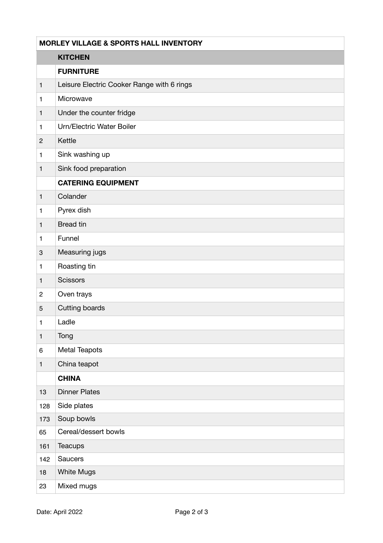| <b>MORLEY VILLAGE &amp; SPORTS HALL INVENTORY</b> |                                            |  |
|---------------------------------------------------|--------------------------------------------|--|
|                                                   | <b>KITCHEN</b>                             |  |
|                                                   | <b>FURNITURE</b>                           |  |
| $\mathbf{1}$                                      | Leisure Electric Cooker Range with 6 rings |  |
| $\mathbf{1}$                                      | Microwave                                  |  |
| $\mathbf{1}$                                      | Under the counter fridge                   |  |
| $\mathbf{1}$                                      | Urn/Electric Water Boiler                  |  |
| $\overline{c}$                                    | Kettle                                     |  |
| $\mathbf{1}$                                      | Sink washing up                            |  |
| $\mathbf{1}$                                      | Sink food preparation                      |  |
|                                                   | <b>CATERING EQUIPMENT</b>                  |  |
| $\mathbf{1}$                                      | Colander                                   |  |
| $\mathbf{1}$                                      | Pyrex dish                                 |  |
| $\mathbf{1}$                                      | <b>Bread tin</b>                           |  |
| $\mathbf{1}$                                      | Funnel                                     |  |
| $\ensuremath{\mathsf{3}}$                         | Measuring jugs                             |  |
| $\mathbf{1}$                                      | Roasting tin                               |  |
| $\mathbf{1}$                                      | <b>Scissors</b>                            |  |
| $\overline{c}$                                    | Oven trays                                 |  |
| 5                                                 | Cutting boards                             |  |
| $\mathbf{1}$                                      | Ladle                                      |  |
| $\mathbf{1}$                                      | Tong                                       |  |
| $\,6$                                             | Metal Teapots                              |  |
| $\mathbf{1}$                                      | China teapot                               |  |
|                                                   | <b>CHINA</b>                               |  |
| 13                                                | <b>Dinner Plates</b>                       |  |
| 128                                               | Side plates                                |  |
| 173                                               | Soup bowls                                 |  |
| 65                                                | Cereal/dessert bowls                       |  |
| 161                                               | Teacups                                    |  |
| 142                                               | Saucers                                    |  |
| 18                                                | <b>White Mugs</b>                          |  |
| 23                                                | Mixed mugs                                 |  |